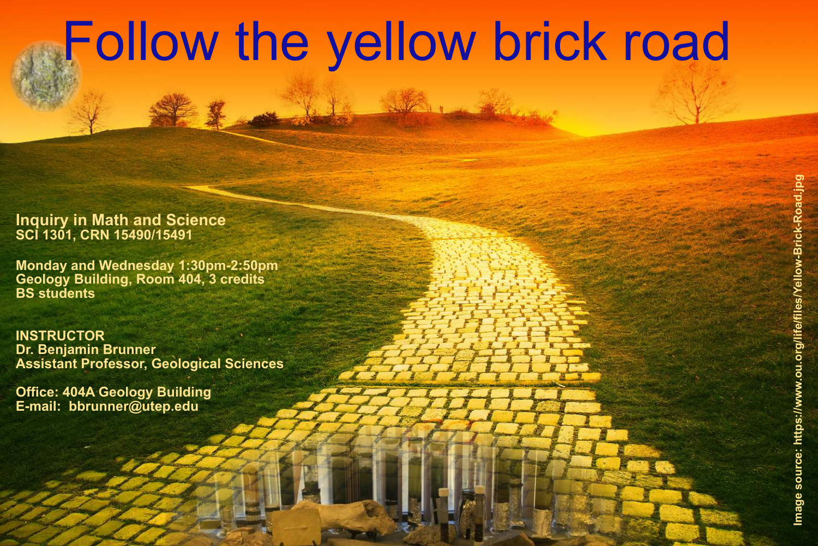# Follow the yellow brick road

## **Inquiry in Math and Science SCI 1301, CRN 15490/15491**

**Monday and Wednesday 1:30pm-2:50pm Geology Building, Room 404, 3 credits BS students**

**INSTRUCTOR Dr. Benjamin Brunner Assistant Professor, Geological Sciences**

**Office: 404A Geology Building E-mail: bbrunner@utep.edu**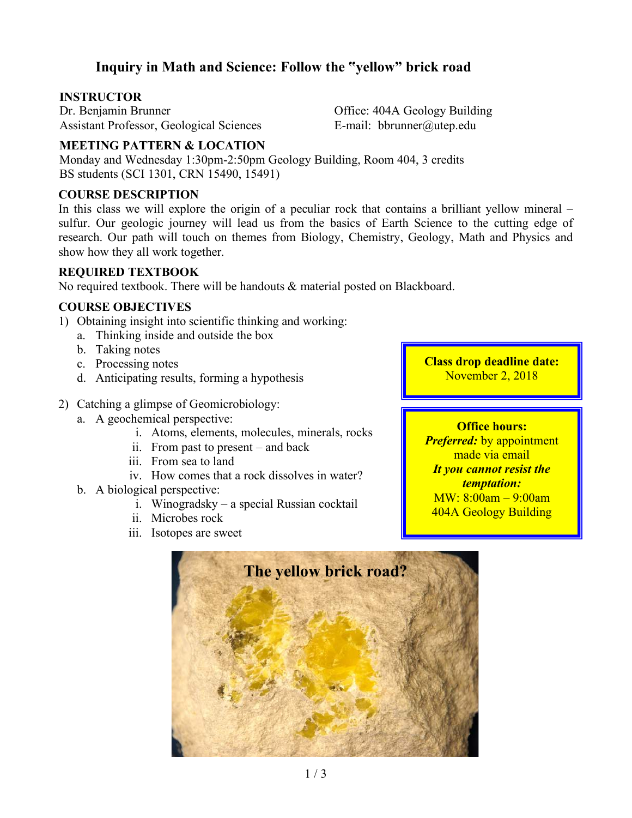# **Inquiry in Math and Science: Follow the "yellow" brick road**

#### **INSTRUCTOR**

Dr. Benjamin Brunner Assistant Professor, Geological Sciences Office: 404A Geology Building E-mail: bbrunner@utep.edu

#### **MEETING PATTERN & LOCATION**

Monday and Wednesday 1:30pm-2:50pm Geology Building, Room 404, 3 credits BS students (SCI 1301, CRN 15490, 15491)

#### **COURSE DESCRIPTION**

In this class we will explore the origin of a peculiar rock that contains a brilliant yellow mineral – sulfur. Our geologic journey will lead us from the basics of Earth Science to the cutting edge of research. Our path will touch on themes from Biology, Chemistry, Geology, Math and Physics and show how they all work together.

#### **REQUIRED TEXTBOOK**

No required textbook. There will be handouts & material posted on Blackboard.

#### **COURSE OBJECTIVES**

- 1) Obtaining insight into scientific thinking and working:
	- a. Thinking inside and outside the box
	- b. Taking notes
	- c. Processing notes
	- d. Anticipating results, forming a hypothesis
- 2) Catching a glimpse of Geomicrobiology:
	- a. A geochemical perspective:
		- i. Atoms, elements, molecules, minerals, rocks
		- ii. From past to present and back
		- iii. From sea to land
		- iv. How comes that a rock dissolves in water?
	- b. A biological perspective:
		- i. Winogradsky a special Russian cocktail
		- ii. Microbes rock
		- iii. Isotopes are sweet

**Class drop deadline date:** November 2, 2018

#### **Office hours:**

*Preferred:* by appointment made via email *It you cannot resist the temptation:* MW: 8:00am – 9:00am 404A Geology Building

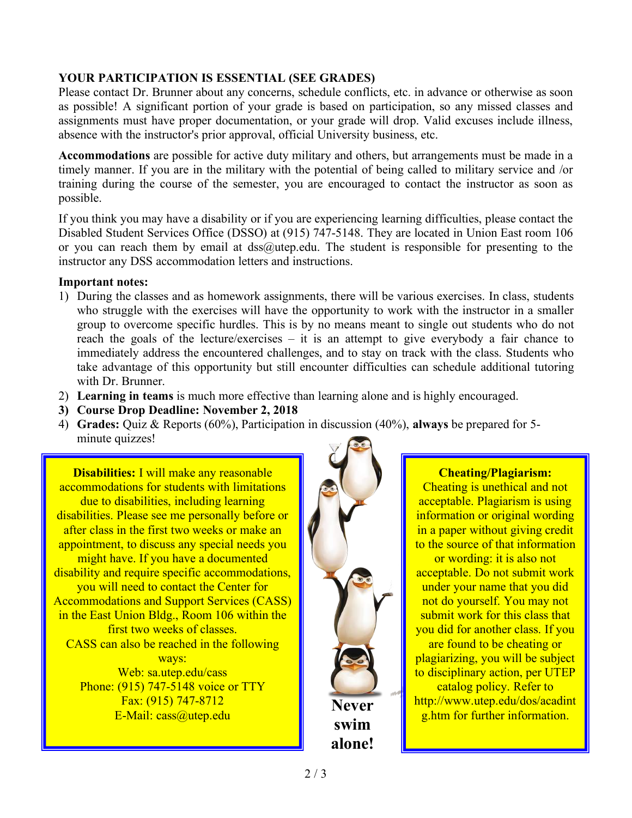## **YOUR PARTICIPATION IS ESSENTIAL (SEE GRADES)**

Please contact Dr. Brunner about any concerns, schedule conflicts, etc. in advance or otherwise as soon as possible! A significant portion of your grade is based on participation, so any missed classes and assignments must have proper documentation, or your grade will drop. Valid excuses include illness, absence with the instructor's prior approval, official University business, etc.

**Accommodations** are possible for active duty military and others, but arrangements must be made in a timely manner. If you are in the military with the potential of being called to military service and /or training during the course of the semester, you are encouraged to contact the instructor as soon as possible.

If you think you may have a disability or if you are experiencing learning difficulties, please contact the Disabled Student Services Office (DSSO) at (915) 747-5148. They are located in Union East room 106 or you can reach them by email at  $dss@$ utep.edu. The student is responsible for presenting to the instructor any DSS accommodation letters and instructions.

#### **Important notes:**

- 1) During the classes and as homework assignments, there will be various exercises. In class, students who struggle with the exercises will have the opportunity to work with the instructor in a smaller group to overcome specific hurdles. This is by no means meant to single out students who do not reach the goals of the lecture/exercises – it is an attempt to give everybody a fair chance to immediately address the encountered challenges, and to stay on track with the class. Students who take advantage of this opportunity but still encounter difficulties can schedule additional tutoring with Dr. Brunner.
- 2) **Learning in teams** is much more effective than learning alone and is highly encouraged.
- **3) Course Drop Deadline: November 2, 2018**
- 4) **Grades:** Quiz & Reports (60%), Participation in discussion (40%), **always** be prepared for 5 minute quizzes!

**Disabilities:** I will make any reasonable accommodations for students with limitations due to disabilities, including learning disabilities. Please see me personally before or after class in the first two weeks or make an appointment, to discuss any special needs you might have. If you have a documented disability and require specific accommodations, you will need to contact the Center for Accommodations and Support Services (CASS) in the East Union Bldg., Room 106 within the first two weeks of classes. CASS can also be reached in the following ways: Web: sa.utep.edu/cass Phone: (915) 747-5148 voice or TTY Fax: (915) 747-8712 E-Mail: cass@utep.edu



#### **Cheating/Plagiarism:**

Cheating is unethical and not acceptable. Plagiarism is using information or original wording in a paper without giving credit to the source of that information or wording: it is also not acceptable. Do not submit work under your name that you did not do yourself. You may not submit work for this class that you did for another class. If you are found to be cheating or plagiarizing, you will be subject to disciplinary action, per UTEP catalog policy. Refer to http://www.utep.edu/dos/acadint g.htm for further information.